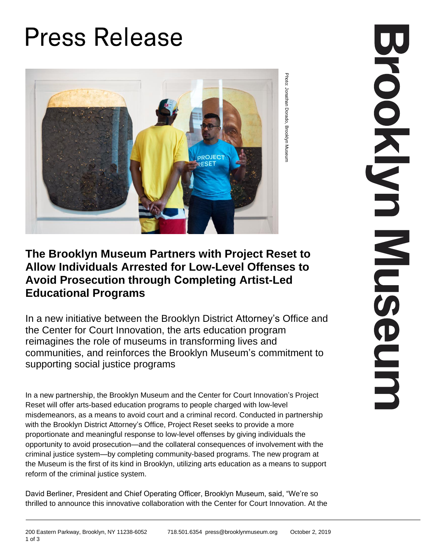## **Press Release**



## **The Brooklyn Museum Partners with Project Reset to Allow Individuals Arrested for Low-Level Offenses to Avoid Prosecution through Completing Artist-Led Educational Programs**

In a new initiative between the Brooklyn District Attorney's Office and the Center for Court Innovation, the arts education program reimagines the role of museums in transforming lives and communities, and reinforces the Brooklyn Museum's commitment to supporting social justice programs

In a new partnership, the Brooklyn Museum and the Center for Court Innovation's Project Reset will offer arts-based education programs to people charged with low-level misdemeanors, as a means to avoid court and a criminal record. Conducted in partnership with the Brooklyn District Attorney's Office, Project Reset seeks to provide a more proportionate and meaningful response to low-level offenses by giving individuals the opportunity to avoid prosecution—and the collateral consequences of involvement with the criminal justice system—by completing community-based programs. The new program at the Museum is the first of its kind in Brooklyn, utilizing arts education as a means to support reform of the criminal justice system.

David Berliner, President and Chief Operating Officer, Brooklyn Museum, said, "We're so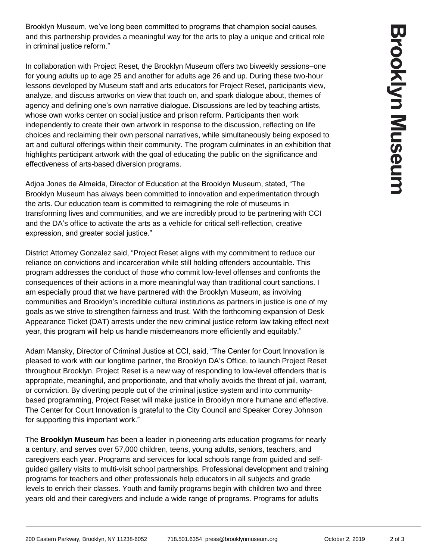Brooklyn Museum, we've long been committed to programs that champion social causes, and this partnership provides a meaningful way for the arts to play a unique and critical role in criminal justice reform."

In collaboration with Project Reset, the Brooklyn Museum offers two biweekly sessions–one for young adults up to age 25 and another for adults age 26 and up. During these two-hour lessons developed by Museum staff and arts educators for Project Reset, participants view, analyze, and discuss artworks on view that touch on, and spark dialogue about, themes of agency and defining one's own narrative dialogue. Discussions are led by teaching artists, whose own works center on social justice and prison reform. Participants then work independently to create their own artwork in response to the discussion, reflecting on life choices and reclaiming their own personal narratives, while simultaneously being exposed to art and cultural offerings within their community. The program culminates in an exhibition that highlights participant artwork with the goal of educating the public on the significance and effectiveness of arts-based diversion programs.

Adjoa Jones de Almeida, Director of Education at the Brooklyn Museum, stated, "The Brooklyn Museum has always been committed to innovation and experimentation through the arts. Our education team is committed to reimagining the role of museums in transforming lives and communities, and we are incredibly proud to be partnering with CCI and the DA's office to activate the arts as a vehicle for critical self-reflection, creative expression, and greater social justice."

District Attorney Gonzalez said, "Project Reset aligns with my commitment to reduce our reliance on convictions and incarceration while still holding offenders accountable. This program addresses the conduct of those who commit low-level offenses and confronts the consequences of their actions in a more meaningful way than traditional court sanctions. I am especially proud that we have partnered with the Brooklyn Museum, as involving communities and Brooklyn's incredible cultural institutions as partners in justice is one of my goals as we strive to strengthen fairness and trust. With the forthcoming expansion of Desk Appearance Ticket (DAT) arrests under the new criminal justice reform law taking effect next year, this program will help us handle misdemeanors more efficiently and equitably."

Adam Mansky, Director of Criminal Justice at CCI, said, "The Center for Court Innovation is pleased to work with our longtime partner, the Brooklyn DA's Office, to launch Project Reset throughout Brooklyn. Project Reset is a new way of responding to low-level offenders that is appropriate, meaningful, and proportionate, and that wholly avoids the threat of jail, warrant, or conviction. By diverting people out of the criminal justice system and into communitybased programming, Project Reset will make justice in Brooklyn more humane and effective. The Center for Court Innovation is grateful to the City Council and Speaker Corey Johnson for supporting this important work."

The **Brooklyn Museum** has been a leader in pioneering arts education programs for nearly a century, and serves over 57,000 children, teens, young adults, seniors, teachers, and caregivers each year. Programs and services for local schools range from guided and selfguided gallery visits to multi-visit school partnerships. Professional development and training programs for teachers and other professionals help educators in all subjects and grade levels to enrich their classes. Youth and family programs begin with children two and three years old and their caregivers and include a wide range of programs. Programs for adults